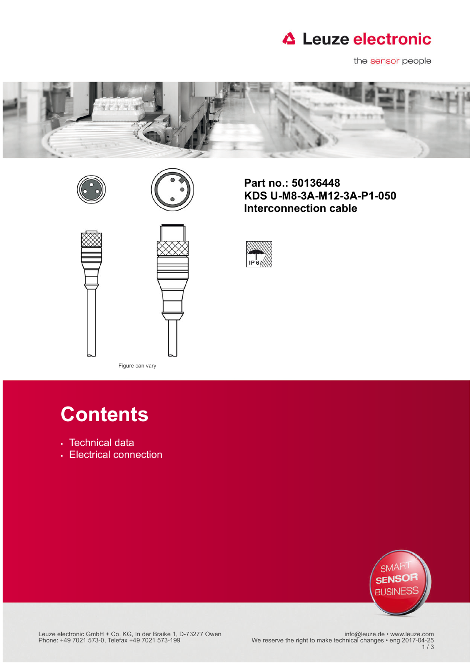

the sensor people







**Part no.: 50136448 KDS U-M8-3A-M12-3A-P1-050 Interconnection cable**



# **Contents**

Figure can vary

- [Technical data](#page-1-0)
- [Electrical connection](#page-2-0)



info@leuze.de • www.leuze.com<br>25-Phone: +49 7021 573-0, Telefax +49 7021 573-199 We reserve the right to make technical changes • eng 2017-<br>3 / 3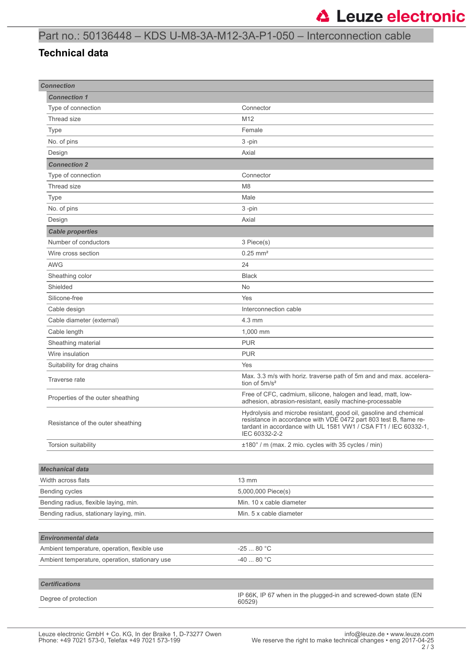### Part no.: 50136448 – KDS U-M8-3A-M12-3A-P1-050 – Interconnection cable

### <span id="page-1-0"></span>**Technical data**

| <b>Connection</b>                              |                                                                                                                                                                                                                            |
|------------------------------------------------|----------------------------------------------------------------------------------------------------------------------------------------------------------------------------------------------------------------------------|
| <b>Connection 1</b>                            |                                                                                                                                                                                                                            |
| Type of connection                             | Connector                                                                                                                                                                                                                  |
| Thread size                                    | M12                                                                                                                                                                                                                        |
| Type                                           | Female                                                                                                                                                                                                                     |
| No. of pins                                    | 3-pin                                                                                                                                                                                                                      |
| Design                                         | Axial                                                                                                                                                                                                                      |
| <b>Connection 2</b>                            |                                                                                                                                                                                                                            |
| Type of connection                             | Connector                                                                                                                                                                                                                  |
| Thread size                                    | M <sub>8</sub>                                                                                                                                                                                                             |
| Type                                           | Male                                                                                                                                                                                                                       |
| No. of pins                                    | 3-pin                                                                                                                                                                                                                      |
| Design                                         | Axial                                                                                                                                                                                                                      |
| <b>Cable properties</b>                        |                                                                                                                                                                                                                            |
| Number of conductors                           | 3 Piece(s)                                                                                                                                                                                                                 |
| Wire cross section                             | $0.25$ mm <sup>2</sup>                                                                                                                                                                                                     |
| <b>AWG</b>                                     | 24                                                                                                                                                                                                                         |
| Sheathing color                                | <b>Black</b>                                                                                                                                                                                                               |
| Shielded                                       | No                                                                                                                                                                                                                         |
| Silicone-free                                  | Yes                                                                                                                                                                                                                        |
| Cable design                                   | Interconnection cable                                                                                                                                                                                                      |
| Cable diameter (external)                      | $4.3 \text{ mm}$                                                                                                                                                                                                           |
| Cable length                                   | 1,000 mm                                                                                                                                                                                                                   |
| Sheathing material                             | <b>PUR</b>                                                                                                                                                                                                                 |
| Wire insulation                                | <b>PUR</b>                                                                                                                                                                                                                 |
| Suitability for drag chains                    | Yes                                                                                                                                                                                                                        |
| Traverse rate                                  | Max. 3.3 m/s with horiz. traverse path of 5m and and max. accelera-<br>tion of 5m/s <sup>2</sup>                                                                                                                           |
| Properties of the outer sheathing              | Free of CFC, cadmium, silicone, halogen and lead, matt, low-<br>adhesion, abrasion-resistant, easily machine-processable                                                                                                   |
| Resistance of the outer sheathing              | Hydrolysis and microbe resistant, good oil, gasoline and chemical<br>resistance in accordance with VDE 0472 part 803 test B, flame re-<br>tardant in accordance with UL 1581 VW1 / CSA FT1 / IEC 60332-1,<br>IEC 60332-2-2 |
| Torsion suitability                            | ±180° / m (max. 2 mio. cycles with 35 cycles / min)                                                                                                                                                                        |
|                                                |                                                                                                                                                                                                                            |
| <b>Mechanical data</b>                         |                                                                                                                                                                                                                            |
| Width across flats                             | $13 \text{ mm}$                                                                                                                                                                                                            |
| Bending cycles                                 | 5,000,000 Piece(s)                                                                                                                                                                                                         |
| Bending radius, flexible laying, min.          | Min. 10 x cable diameter                                                                                                                                                                                                   |
| Bending radius, stationary laying, min.        | Min. 5 x cable diameter                                                                                                                                                                                                    |
|                                                |                                                                                                                                                                                                                            |
| <b>Environmental data</b>                      |                                                                                                                                                                                                                            |
| Ambient temperature, operation, flexible use   | $-2580 °C$                                                                                                                                                                                                                 |
| Ambient temperature, operation, stationary use | $-4080 °C$                                                                                                                                                                                                                 |
|                                                |                                                                                                                                                                                                                            |
| <b>Certifications</b>                          |                                                                                                                                                                                                                            |
| Degree of protection                           | IP 66K, IP 67 when in the plugged-in and screwed-down state (EN<br>60529)                                                                                                                                                  |